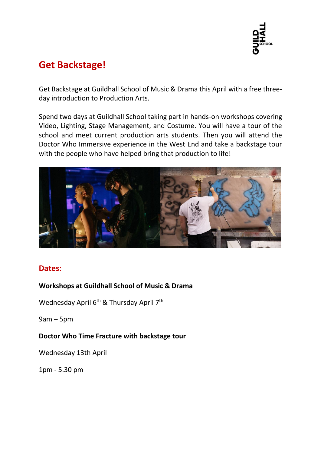

# **Get Backstage!**

Get Backstage at Guildhall School of Music & Drama this April with a free threeday introduction to Production Arts.

Spend two days at Guildhall School taking part in hands-on workshops covering Video, Lighting, Stage Management, and Costume. You will have a tour of the school and meet current production arts students. Then you will attend the Doctor Who Immersive experience in the West End and take a backstage tour with the people who have helped bring that production to life!



# **Dates:**

### **Workshops at Guildhall School of Music & Drama**

Wednesday April 6<sup>th</sup> & Thursday April 7<sup>th</sup>

 $9am - 5pm$ 

#### **Doctor Who Time Fracture with backstage tour**

Wednesday 13th April

1pm - 5.30 pm